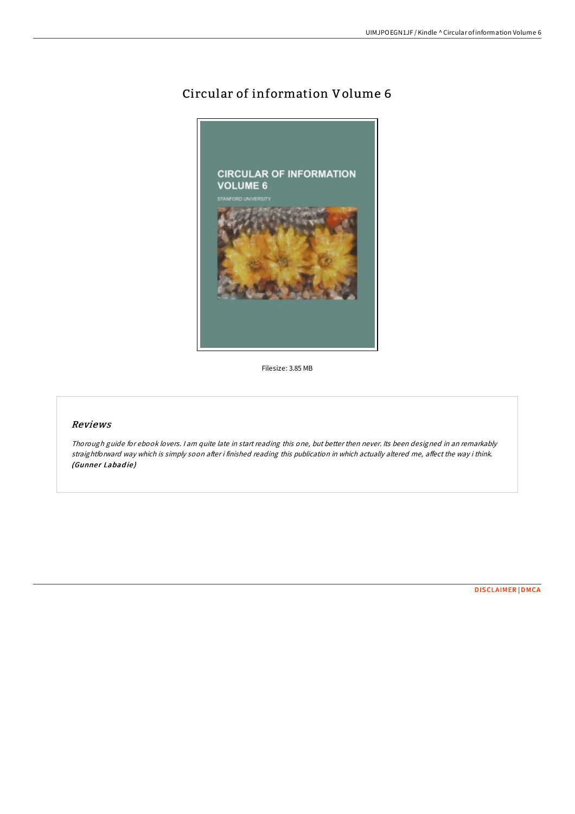## Circular of information Volume 6



Filesize: 3.85 MB

## Reviews

Thorough guide for ebook lovers. <sup>I</sup> am quite late in start reading this one, but better then never. Its been designed in an remarkably straightforward way which is simply soon after i finished reading this publication in which actually altered me, affect the way i think. (Gunner Labadie)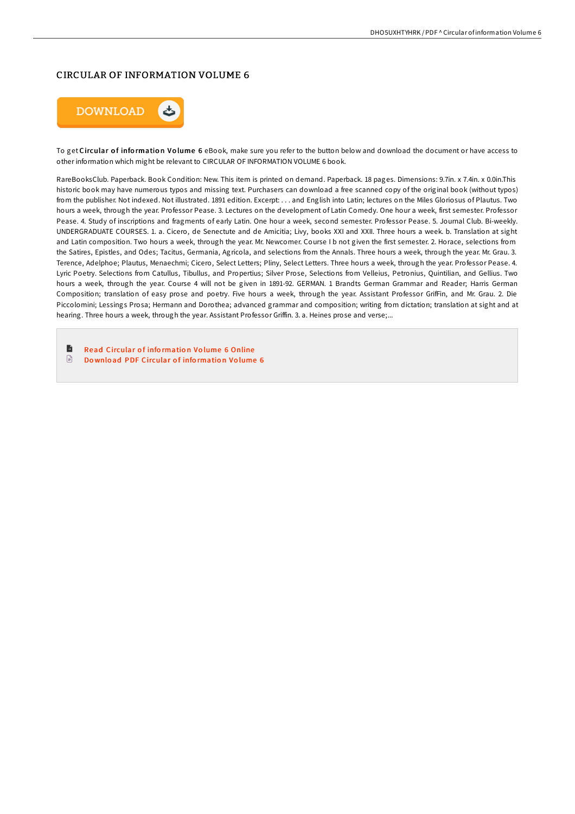## CIRCULAR OF INFORMATION VOLUME 6



To get Circular of information Volume 6 eBook, make sure you refer to the button below and download the document or have access to other information which might be relevant to CIRCULAR OF INFORMATION VOLUME 6 book.

RareBooksClub. Paperback. Book Condition: New. This item is printed on demand. Paperback. 18 pages. Dimensions: 9.7in. x 7.4in. x 0.0in.This historic book may have numerous typos and missing text. Purchasers can download a free scanned copy of the original book (without typos) from the publisher. Not indexed. Not illustrated. 1891 edition. Excerpt: . . . and English into Latin; lectures on the Miles Gloriosus of Plautus. Two hours a week, through the year. Professor Pease. 3. Lectures on the development of Latin Comedy. One hour a week, first semester. Professor Pease. 4. Study of inscriptions and fragments of early Latin. One hour a week, second semester. Professor Pease. 5. Journal Club. Bi-weekly. UNDERGRADUATE COURSES. 1. a. Cicero, de Senectute and de Amicitia; Livy, books XXI and XXII. Three hours a week. b. Translation at sight and Latin composition. Two hours a week, through the year. Mr. Newcomer. Course I b not given the first semester. 2. Horace, selections from the Satires, Epistles, and Odes; Tacitus, Germania, Agricola, and selections from the Annals. Three hours a week, through the year. Mr. Grau. 3. Terence, Adelphoe; Plautus, Menaechmi; Cicero, Select Letters; Pliny, Select Letters. Three hours a week, through the year. Professor Pease. 4. Lyric Poetry. Selections from Catullus, Tibullus, and Propertius; Silver Prose, Selections from Velleius, Petronius, Quintilian, and Gellius. Two hours a week, through the year. Course 4 will not be given in 1891-92. GERMAN. 1 Brandts German Grammar and Reader; Harris German Composition; translation of easy prose and poetry. Five hours a week, through the year. Assistant Professor GrifFin, and Mr. Grau. 2. Die Piccolomini; Lessings Prosa; Hermann and Dorothea; advanced grammar and composition; writing from dictation; translation at sight and at hearing. Three hours a week, through the year. Assistant Professor Griffin. 3. a. Heines prose and verse;...

 $\blacksquare$ **Read [Circular](http://almighty24.tech/circular-of-information-volume-6.html) of information Volume 6 Online**  $\begin{tabular}{|c|c|} \hline \quad \quad & \quad \quad & \quad \quad \\ \hline \end{tabular}$ Do wnload PDF [Circular](http://almighty24.tech/circular-of-information-volume-6.html) of information Volume 6